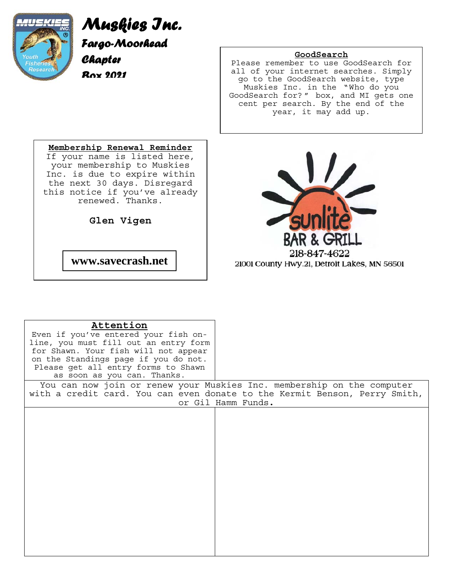

# *Muskies Inc. Fargo-Moorhead Chapter Box 2021*

### **GoodSearch**

Please remember to use GoodSearch for all of your internet searches. Simply go to the GoodSearch website, type Muskies Inc. in the "Who do you GoodSearch for? " box, and MI gets one cent per search. By the end of the year, it may add up.

**Membership Renewal Reminder** If your name is listed here, your membership to Muskies Inc. is due to expire within the next 30 days. Disregard this notice if you've already renewed. Thanks.

**Glen Vigen**

 **www.savecrash.net** 



21001 County Hwy.21, Detroit Lakes, MN 56501

| Attention                             |                                                                            |
|---------------------------------------|----------------------------------------------------------------------------|
| Even if you've entered your fish on-  |                                                                            |
| line, you must fill out an entry form |                                                                            |
| for Shawn. Your fish will not appear  |                                                                            |
| on the Standings page if you do not.  |                                                                            |
| Please get all entry forms to Shawn   |                                                                            |
| as soon as you can. Thanks.           |                                                                            |
|                                       | You can now join or renew your Muskies Inc. membership on the computer     |
|                                       | with a credit card. You can even donate to the Kermit Benson, Perry Smith, |
|                                       | or Gil Hamm Funds.                                                         |
|                                       |                                                                            |
|                                       |                                                                            |
|                                       |                                                                            |
|                                       |                                                                            |
|                                       |                                                                            |
|                                       |                                                                            |
|                                       |                                                                            |
|                                       |                                                                            |
|                                       |                                                                            |
|                                       |                                                                            |
|                                       |                                                                            |
|                                       |                                                                            |
|                                       |                                                                            |
|                                       |                                                                            |
|                                       |                                                                            |
|                                       |                                                                            |
|                                       |                                                                            |
|                                       |                                                                            |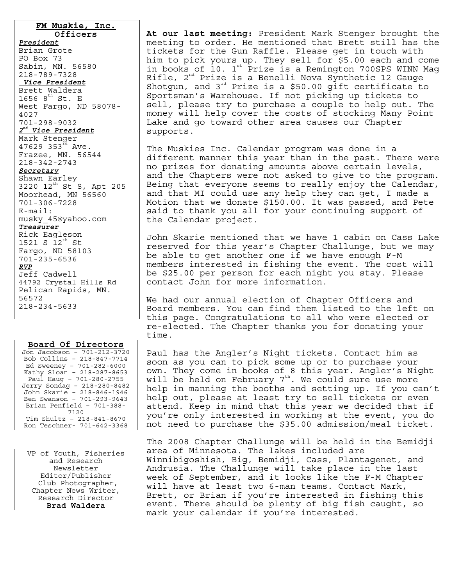#### **FM Muskie, Inc.**

**Officers** *President* Brian Grote PO Box 73 Sabin, MN. 56580 218-789-7328 *Vice President* Brett Waldera  $1656$   $8^{th}$  St. E West Fargo, ND 58078- 4027 701-298-9032 *2nd Vice President* Mark Stenger 47629 353 $^{rd}$  Ave. Frazee, MN. 56544 218-342-2743 *Secretary* Shawn Earley 3220 12<sup>th</sup> St S, Apt 205 Moorhead, MN 56560 701-306-7228 E-mail: musky\_45@yahoo.com *Treasurer* Rick Eagleson  $1521 S 12<sup>tn</sup> St$ Fargo, ND 58103 701-235-6536 *RVP* Jeff Cadwell 44792 Crystal Hills Rd Pelican Rapids, MN. 56572 218-234-5633

| Board Of Directors          |  |  |  |
|-----------------------------|--|--|--|
| Jon Jacobson - 701-212-3720 |  |  |  |
| Bob Collins - 218-847-7714  |  |  |  |
| Ed Sweeney - 701-282-6000   |  |  |  |
| Kathy Sloan - 218-287-8653  |  |  |  |
| Paul Haug - 701-280-2755    |  |  |  |
| Jerry Sondag - 218-280-8482 |  |  |  |
| John Skarie - 218-846-1946  |  |  |  |
| Ben Swanson - 701-293-9643  |  |  |  |
| Brian Penfield - 701-388-   |  |  |  |
| 7120                        |  |  |  |
| Tim Shultz - 218-841-8670   |  |  |  |
| Ron Teschner- 701-642-3368  |  |  |  |

VP of Youth, Fisheries and Research Newsletter Editor/Publisher Club Photographer, Chapter News Writer, Research Director **Brad Waldera** 

**At our last meeting:** President Mark Stenger brought the meeting to order. He mentioned that Brett still has the tickets for the Gun Raffle. Please get in touch with him to pick yours up. They sell for \$5.00 each and come in books of  $10. 1$ <sup>st</sup> Prize is a Remington 700SPS WINN Mag Rifle,  $2^{\text{nd}}$  Prize is a Benelli Nova Synthetic 12 Gauge Shotgun, and  $3^{rd}$  Prize is a \$50.00 gift certificate to Sportsman's Warehouse. If not picking up tickets to sell, please try to purchase a couple to help out. The money will help cover the costs of stocking Many Point Lake and go toward other area causes our Chapter supports.

The Muskies Inc. Calendar program was done in a different manner this year than in the past. There were no prizes for donating amounts above certain levels, and the Chapters were not asked to give to the program. Being that everyone seems to really enjoy the Calendar, and that MI could use any help they can get, I made a Motion that we donate \$150.00. It was passed, and Pete said to thank you all for your continuing support of the Calendar project.

John Skarie mentioned that we have 1 cabin on Cass Lake reserved for this year's Chapter Challunge, but we may be able to get another one if we have enough F-M members interested in fishing the event. The cost will be \$25.00 per person for each night you stay. Please contact John for more information.

We had our annual election of Chapter Officers and Board members. You can find them listed to the left on this page. Congratulations to all who were elected or re-elected. The Chapter thanks you for donating your time.

Paul has the Angler's Night tickets. Contact him as soon as you can to pick some up or to purchase your own. They come in books of 8 this year. Angler's Night will be held on February 7<sup>th</sup>. We could sure use more help in manning the booths and setting up. If you can't help out, please at least try to sell tickets or even attend. Keep in mind that this year we decided that if you're only interested in working at the event, you do not need to purchase the \$35.00 admission/meal ticket.

The 2008 Chapter Challunge will be held in the Bemidji area of Minnesota. The lakes included are Winnibigoshish, Big, Bemidji, Cass, Plantagenet, and Andrusia. The Challunge will take place in the last week of September, and it looks like the F-M Chapter will have at least two 6-man teams. Contact Mark, Brett, or Brian if you're interested in fishing this event. There should be plenty of big fish caught, so mark your calendar if you're interested.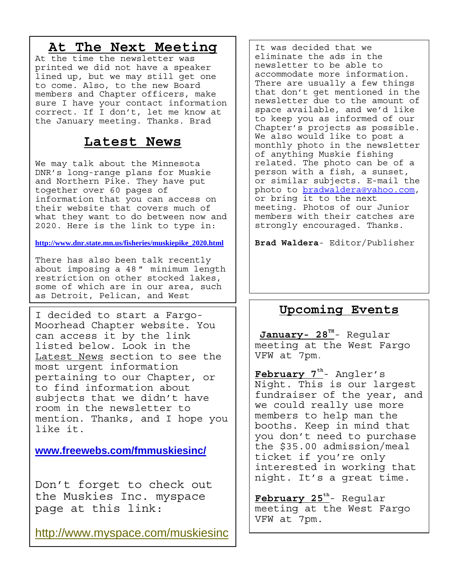## **At The Next Meeting**

At the time the newsletter was printed we did not have a speaker lined up, but we may still get one to come. Also, to the new Board members and Chapter officers, make sure I have your contact information correct. If I don't, let me know at the January meeting. Thanks. Brad

### **Latest News**

We may talk about the Minnesota DNR's long-range plans for Muskie and Northern Pike. They have put together over 60 pages of information that you can access on their website that covers much of what they want to do between now and 2020. Here is the link to type in:

### **http://www.dnr.state.mn.us/fisheries/muskiepike\_2020.html**

There has also been talk recently about imposing a 48 " minimum length restriction on other stocked lakes, some of which are in our area, such as Detroit, Pelican, and West

I decided to start a Fargo-Moorhead Chapter website. You can access it by the link listed below. Look in the Latest News section to see the most urgent information pertaining to our Chapter, or to find information about subjects that we didn't have room in the newsletter to mention. Thanks, and I hope you like it.

**www.freewebs.com/fmmuskiesinc/** 

Don't forget to check out the Muskies Inc. myspace page at this link:

http://www.myspace.com/muskiesinc

It was decided that we eliminate the ads in the newsletter to be able to accommodate more information. There are usually a few things that don't get mentioned in the newsletter due to the amount of space available, and we'd like to keep you as informed of our Chapter's projects as possible. We also would like to post a monthly photo in the newsletter of anything Muskie fishing related. The photo can be of a person with a fish, a sunset, or similar subjects. E-mail the photo to bradwaldera@yahoo.com, or bring it to the next meeting. Photos of our Junior members with their catches are strongly encouraged. Thanks.

**Brad Waldera**- Editor/Publisher

## **Upcoming Events**

January- 28<sup>TH</sup>- Regular meeting at the West Fargo VFW at 7pm.

February 7<sup>th</sup>- Angler's Night. This is our largest fundraiser of the year, and we could really use more members to help man the booths. Keep in mind that you don't need to purchase the \$35.00 admission/meal ticket if you're only interested in working that night. It's a great time.

February 25<sup>th</sup>- Regular meeting at the West Fargo VFW at 7pm.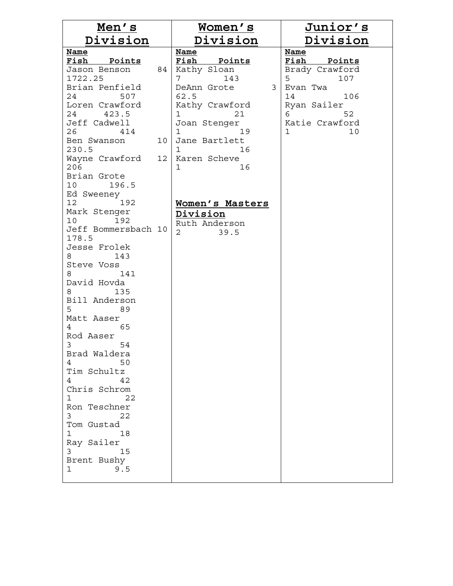| Men's                     |    | <u>Women's</u>         | <u>Junior's</u>       |
|---------------------------|----|------------------------|-----------------------|
| <u>Division</u>           |    | <u>Division</u>        | <u>Division</u>       |
| Name                      |    | <u>Name</u>            | Name                  |
| Fish Points               |    | Fish Points            | Fish Points           |
| Jason Benson              | 84 | Kathy Sloan            | Brady Crawford        |
| 1722.25<br>Brian Penfield |    | 7<br>143<br>3          | 5<br>107              |
| 24<br>507                 |    | DeAnn Grote<br>62.5    | Evan Twa<br>14<br>106 |
| Loren Crawford            |    | Kathy Crawford         | Ryan Sailer           |
| 24 423.5                  |    | 1<br>21                | 6<br>52               |
| Jeff Cadwell              |    | Joan Stenger           | Katie Crawford        |
| 26 414                    |    | $\mathbf{1}$<br>19     | $\mathbf{1}$<br>10    |
| Ben Swanson               | 10 | Jane Bartlett          |                       |
| 230.5                     |    | $\mathbf{1}$<br>16     |                       |
| Wayne Crawford 12<br>206  |    | Karen Scheve<br>1      |                       |
| Brian Grote               |    | 16                     |                       |
| 10 196.5                  |    |                        |                       |
| Ed Sweeney                |    |                        |                       |
| 12 <sub>1</sub><br>192    |    | Women's Masters        |                       |
| Mark Stenger              |    | Division               |                       |
| 10 <sub>1</sub><br>192    |    | Ruth Anderson          |                       |
| Jeff Bommersbach 10       |    | $\overline{2}$<br>39.5 |                       |
| 178.5                     |    |                        |                       |
| Jesse Frolek<br>143       |    |                        |                       |
| Steve Voss                |    |                        |                       |
| 141                       |    |                        |                       |
| David Hovda               |    |                        |                       |
| 135                       |    |                        |                       |
| Bill Anderson             |    |                        |                       |
| 5<br>89                   |    |                        |                       |
| Matt Aaser                |    |                        |                       |
| 65<br>4<br>Rod Aaser      |    |                        |                       |
| $\mathbf{3}$<br>54        |    |                        |                       |
| Brad Waldera              |    |                        |                       |
| 50<br>4                   |    |                        |                       |
| Tim Schultz               |    |                        |                       |
| 4<br>42                   |    |                        |                       |
| Chris Schrom              |    |                        |                       |
| $\mathbf 1$<br>22         |    |                        |                       |
| Ron Teschner<br>3<br>22   |    |                        |                       |
| Tom Gustad                |    |                        |                       |
| 1<br>18                   |    |                        |                       |
| Ray Sailer                |    |                        |                       |
| 3<br>15                   |    |                        |                       |
| Brent Bushy               |    |                        |                       |
| 1<br>9.5                  |    |                        |                       |
|                           |    |                        |                       |